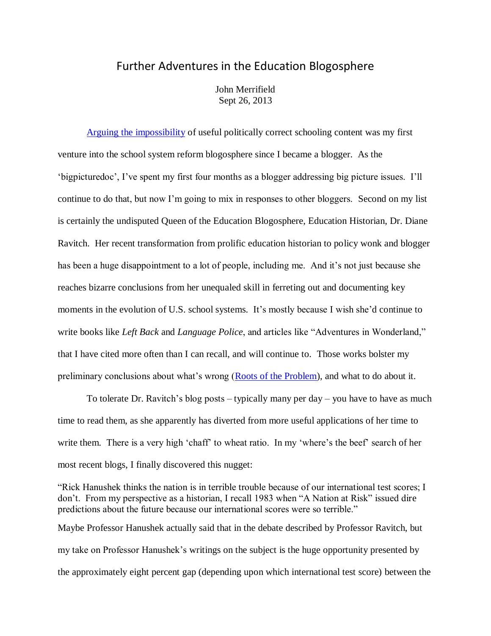## Further Adventures in the Education Blogosphere

John Merrifield Sept 26, 2013

[Arguing the impossibility](http://www.schoolsystemreformstudies.net/wp-content/uploads/2016/11/Impossibility-of-a-Worthwhile-Curriculum.pdf) of useful politically correct schooling content was my first venture into the school system reform blogosphere since I became a blogger. As the 'bigpicturedoc', I've spent my first four months as a blogger addressing big picture issues. I'll continue to do that, but now I'm going to mix in responses to other bloggers. Second on my list is certainly the undisputed Queen of the Education Blogosphere, Education Historian, Dr. Diane Ravitch. Her recent transformation from prolific education historian to policy wonk and blogger has been a huge disappointment to a lot of people, including me. And it's not just because she reaches bizarre conclusions from her unequaled skill in ferreting out and documenting key moments in the evolution of U.S. school systems. It's mostly because I wish she'd continue to write books like *Left Back* and *Language Police*, and articles like "Adventures in Wonderland," that I have cited more often than I can recall, and will continue to. Those works bolster my preliminary conclusions about what's wrong [\(Roots of the Problem\)](http://nebula.wsimg.com/de7a505e69a5da1955afc3fa273fe806?AccessKeyId=DA21FC8554A675E9CF7B&disposition=0&alloworigin=1), and what to do about it.

To tolerate Dr. Ravitch's blog posts – typically many per day – you have to have as much time to read them, as she apparently has diverted from more useful applications of her time to write them. There is a very high 'chaff' to wheat ratio. In my 'where's the beef' search of her most recent blogs, I finally discovered this nugget:

"Rick Hanushek thinks the nation is in terrible trouble because of our international test scores; I don't. From my perspective as a historian, I recall 1983 when "A Nation at Risk" issued dire predictions about the future because our international scores were so terrible." Maybe Professor Hanushek actually said that in the debate described by Professor Ravitch, but my take on Professor Hanushek's writings on the subject is the huge opportunity presented by the approximately eight percent gap (depending upon which international test score) between the